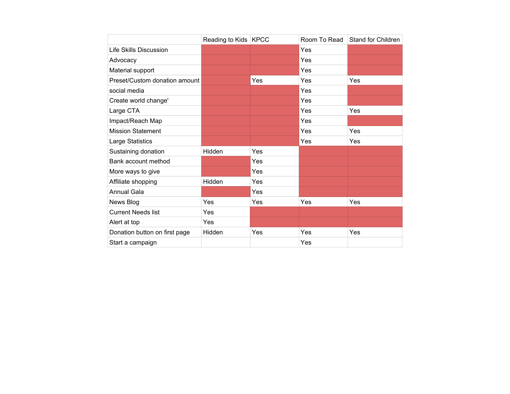|                               | Reading to Kids   KPCC |     | Room To Read | Stand for Children |
|-------------------------------|------------------------|-----|--------------|--------------------|
| <b>Life Skills Discussion</b> |                        |     | Yes          |                    |
| Advocacy                      |                        |     | Yes          |                    |
| Material support              |                        |     | Yes          |                    |
| Preset/Custom donation amount |                        | Yes | Yes          | Yes                |
| social media                  |                        |     | Yes          |                    |
| Create world change'          |                        |     | Yes          |                    |
| Large CTA                     |                        |     | Yes          | Yes                |
| Impact/Reach Map              |                        |     | Yes          |                    |
| <b>Mission Statement</b>      |                        |     | Yes          | Yes                |
| Large Statistics              |                        |     | Yes          | Yes                |
| Sustaining donation           | Hidden                 | Yes |              |                    |
| Bank account method           |                        | Yes |              |                    |
| More ways to give             |                        | Yes |              |                    |
| Affiliate shopping            | Hidden                 | Yes |              |                    |
| <b>Annual Gala</b>            |                        | Yes |              |                    |
| News Blog                     | Yes                    | Yes | Yes          | Yes                |
| <b>Current Needs list</b>     | Yes                    |     |              |                    |
| Alert at top                  | Yes                    |     |              |                    |
| Donation button on first page | Hidden                 | Yes | Yes          | Yes                |
| Start a campaign              |                        |     | Yes          |                    |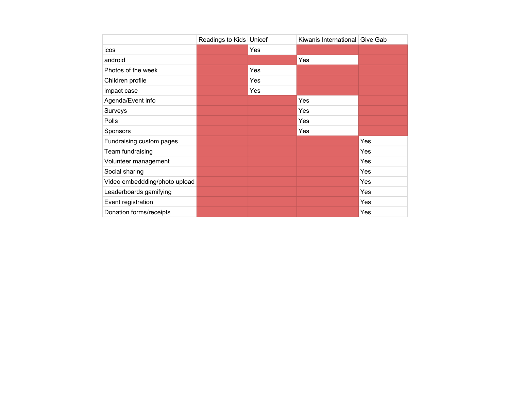|                               | Readings to Kids   Unicef |     | Kiwanis International Give Gab |     |
|-------------------------------|---------------------------|-----|--------------------------------|-----|
| icos                          |                           | Yes |                                |     |
| android                       |                           |     | Yes                            |     |
| Photos of the week            |                           | Yes |                                |     |
| Children profile              |                           | Yes |                                |     |
| impact case                   |                           | Yes |                                |     |
| Agenda/Event info             |                           |     | Yes                            |     |
| Surveys                       |                           |     | Yes                            |     |
| Polls                         |                           |     | Yes                            |     |
| Sponsors                      |                           |     | Yes                            |     |
| Fundraising custom pages      |                           |     |                                | Yes |
| Team fundraising              |                           |     |                                | Yes |
| Volunteer management          |                           |     |                                | Yes |
| Social sharing                |                           |     |                                | Yes |
| Video embeddding/photo upload |                           |     |                                | Yes |
| Leaderboards gamifying        |                           |     |                                | Yes |
| Event registration            |                           |     |                                | Yes |
| Donation forms/receipts       |                           |     |                                | Yes |